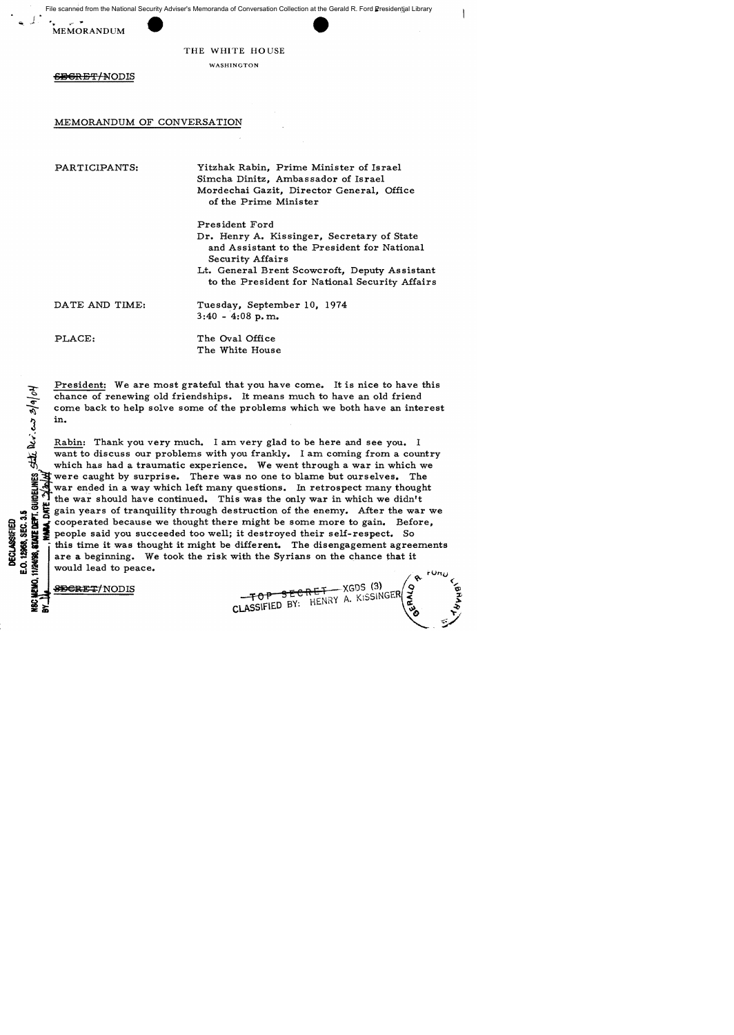File scanned from the National Security Adviser's Memoranda of Conversation Collection at the Gerald R. Ford Presidential Library

.<br>MEMORANDUM



### THE WHITE HOUSE

WASHINGTON

SBGRET/NODIS

# MEMORANDUM OF CONVERSATION

PARTICIPANTS:

Yitzhak Rabin, Prime Minister of Israel Simcha Dinitz, Ambassador of Israel Mordechai Gazit, Director General, Office of the Prime Minister

Pres ident Ford Dr. Henry A. Kissinger, Secretary of State and Assistant to the President for National Security Affairs Lt. General Brent Scowcroft, Deputy Assistant

to the President for National Security Affairs

DATE AND TIME:

PLACE:

 $3|a|o$ N

 $\overline{v}$ . $\overline{c}$ 

The Oval Office The White House

 $3:40 - 4:08 \text{ p.m.}$ 

Tuesday, September 10, 1974

President: We are most grateful that you have come. It is nice to have this chance of renewing old friendships. It means much to have an old friend come back to help solve some of the problems which we both have an interest in.

Rabin: Thank you very much. I am very glad to be here and see you. I want to discuss our problems with you frankly. I am coming from a country which has had a traumatic experience. We went through a war in which we were caught by surprise. There was no one to blame but ourselves. The invar ended in a way which left many questions. In retrospect many thought the war should have continued. This was the only war in which we didn't The gain years of tranquility through destruction of the enemy. After the war we<br>
some cooperated because we thought there might be some more to gain. Before,<br>
so we see that you succeeded too well; it destroyed their sel ~ ~ at ~ cooperated because we thought there might be some more to gain. Before, people said you succeeded too well; it destroyed their self-respect. So this time it was thought it might be different. The disengagement agreements are a beginning. We took the risk with the Syrians on the chance that it would lead to peace.

 $\begin{array}{r} \text{SBERT} \to \text{XGDS} \ \text{F} \text{O} \text{P} \end{array} \begin{array}{r} \text{S} \text{E} \text{C} \text{R} \text{E} \text{T} \to \text{XGDS} \ \text{(3)} \ \text{C} \text{A} \text{S} \text{S} \text{F} \text{I} \text{E} \text{D} \text{B} \text{Y}: \text{H} \text{E} \text{N} \text{R} \text{A}. \text{K} \text{S} \text{S} \text{I} \text{N} \text{G} \text{E} \text{R} \end{array}$ 

**IQ, 11/24**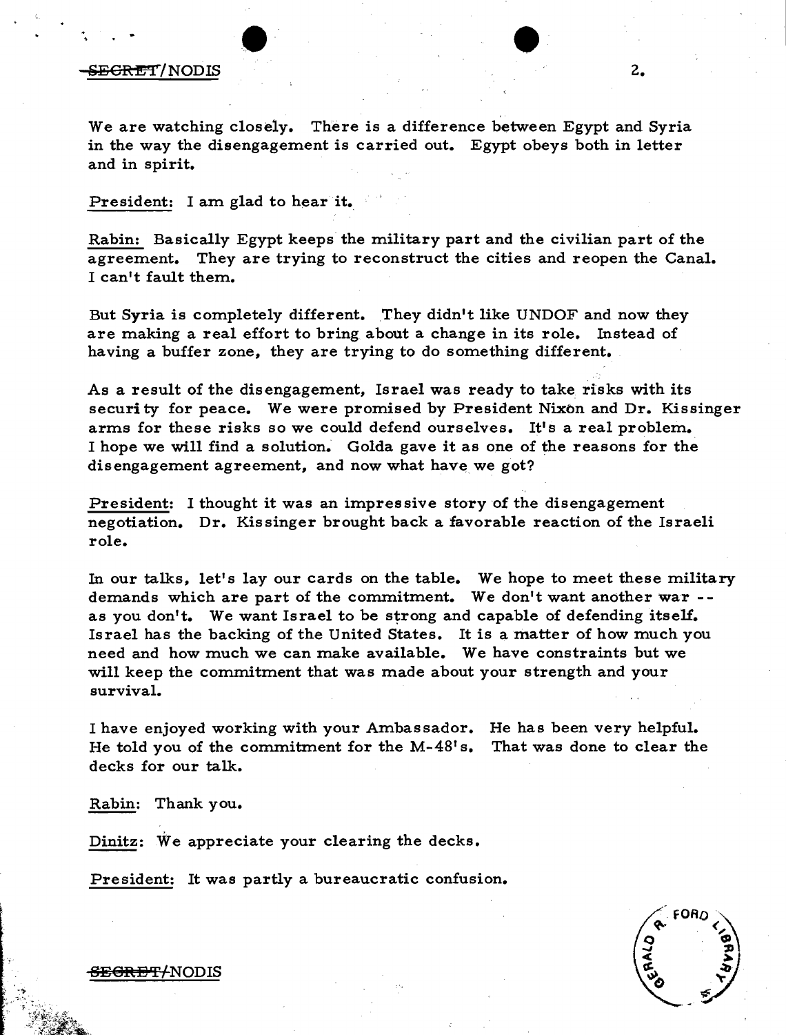

### E<del>GRET</del>/NODIS 2.

We are watching closely. There is a difference between Egypt and Syria in the way the disengagement is carried out. Egypt obeys both in letter and in spirit.

President: I am glad to hear it.

Rabin: Basically Egypt keeps the military part and the civilian part of the agreement. They are trying to reconstruct the cities and reopen the Canal. I can't fault them.

But Syria is completely different. They didn't like UNDOF and now they are making a real effort to bring about a change in its role. Instead of having a buffer zone, they are trying to do something different.

As a result of the disengagement, Israel was ready to take risks with its securi ty for peace. We were promised by President Nixon and Dr. Kissinger arms for these risks so we could defend ourselves. It's a real problem. I hope we will find a solution. Golda gave it as one of the reasons for the disengagement agreement, and now what have we got?

President: I thought it was an impressive story of the disengagement negotiation. Dr. Kissinger brought back a favorable reaction of the Israeli role.

In our talks, let's lay our cards on the table. We hope to meet these military demands which are part of the commitment. We don't want another war - as you don't. We want Israel to be strong and capable of defending itself. Israel has the backing of the United States. It is a matter of how much you need and how much we can make available. We have constraints but we will keep the commitment that was made about your strength and your survival.

I have enjoyed working with your Ambassador. He has been very helpful. He told you of the commitment for the M-48' s. decks for our talk. That was done to clear the

Rabin: Thank you.

Dinitz: We appreciate your clearing the decks.

President: It was partly a bureaucratic confusion.

<del>SEGRET/</del>NODIS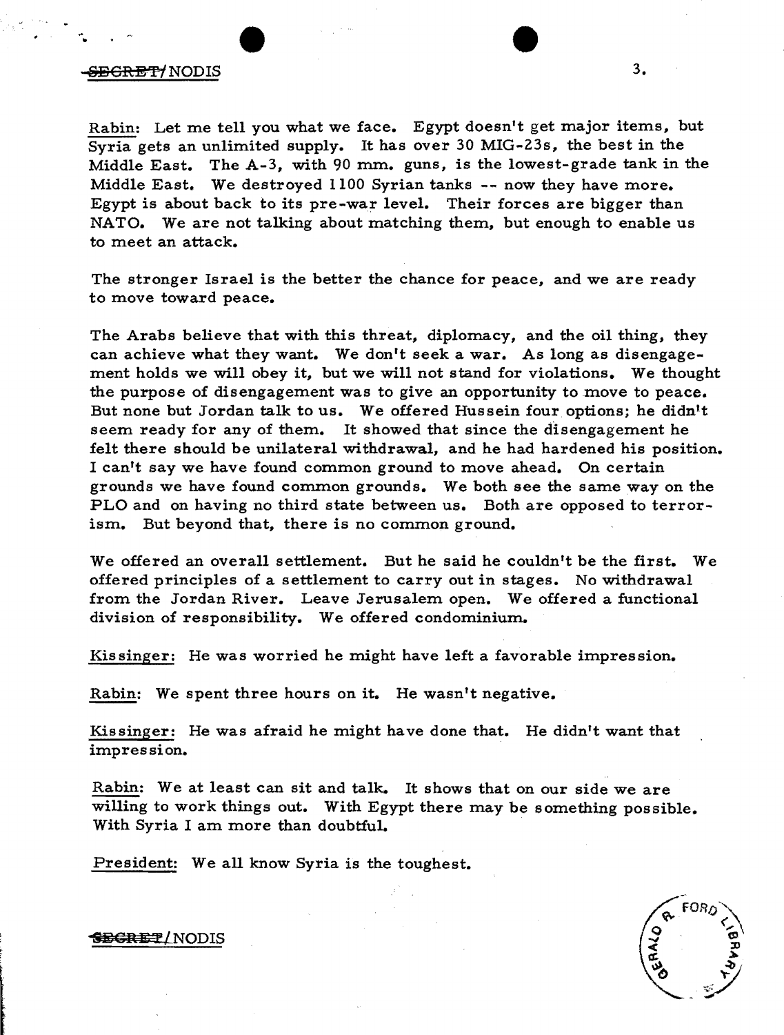# SECRET<sup>/</sup>NODIS 3.

Rabin: Let me tell you what we face. Egypt doesn't get major items, but Syria gets an unlimited supply. It has over 30 MIG-23s, the best in the Middle East. The A-3, with 90 mm. guns, is the lowest-grade tank in the Middle East. We destroyed 1100 Syrian tanks -- now they have more. Egypt is about back to its pre-war level. Their forces are bigger than NATO. We are not talking about matching them, but enough to enable us to meet an attack.

The stronger Israel is the better the chance for peace, and we are ready to move toward peace.

The Arabs believe that with this threat, diplomacy, and the oil thing, they can achieve what they want. We don't seek a war. As long as disengagement holds we will obey it, but we will not stand for violations. We thought the purpose of disengagement was to give an opportunity to move to peace. But none but Jordan talk to us. We offered Hussein four options; he didn't seem ready for any of them. It showed that since the disengagement he felt there should be unilateral withdrawal, and he had hardened his position. I can't say we have found common ground to move ahead. On certain grounds we have found common grounds. We both see the same way on the PLO and on having no third state between us. Both are opposed to terrorism. But beyond that, there is no common ground.

We offered an overall settlement. But he said he couldn't be the first. We offered principles of a settlement to carry out in stages. No withdrawal from the Jordan River. Leave Jerusalem open. We offered a functional division of responsibility. We offered condominium.

Kissinger: He was worried he might have left a favorable impression.

Rabin: We spent three hours on it. He wasn't negative.

Kissinger: He was afraid he might have done that. He didn't want that impression.

Rabin: We at least can sit and talk. It shows that on our side we are willing to work things out. With Egypt there may be something possible. With Syria I am more than doubtful.

President: We all know Syria is the toughest.

## SEGRET/NODIS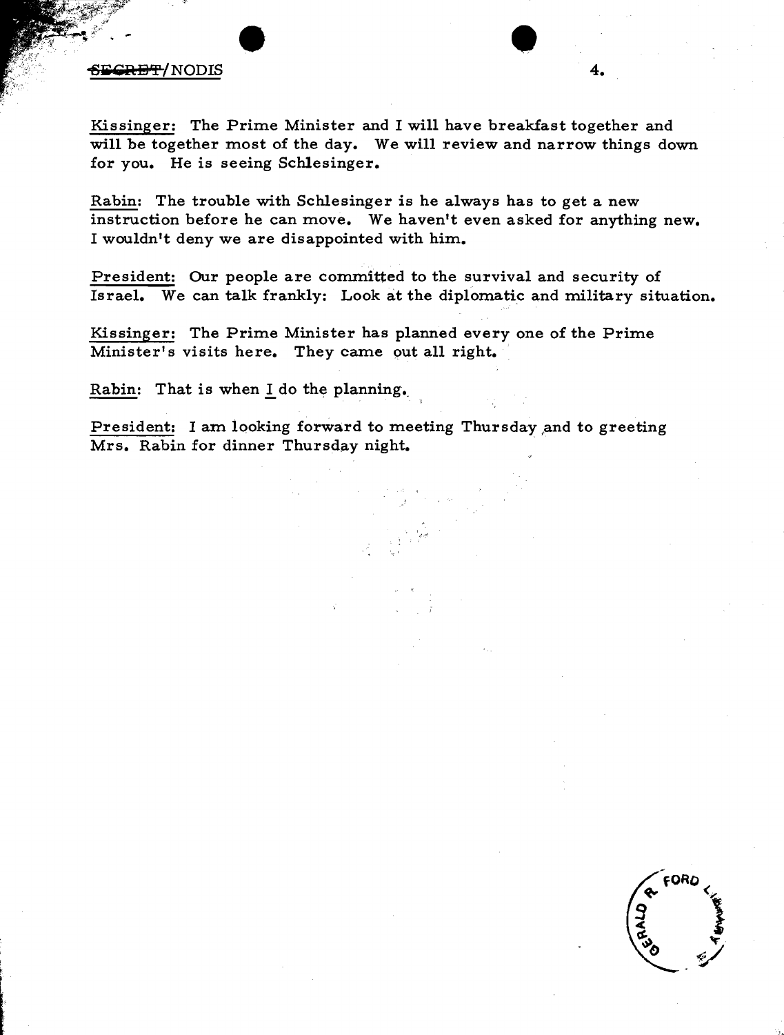# $\frac{1}{\sqrt{2}}$ .

Kissinger: The Prime Minister and I will have breakfast together and will be together most of the day. We will review and narrow things down for you. He is seeing Schlesinger.

Rabin: The trouble with Schlesinger is he always has to get a new instruction before he can move. We haven't even asked for anything new. I wouldn't deny we are disappointed with him.

President: Our people are committed to the survival and security of Israel. We can talk frankly: Look at the diplomatic and military situation.

Kissinger: The Prime Minister has planned every one of the Prime Minister's visits here. They came put all right.

Rabin: That is when I do the planning.

President: I am looking forward to meeting Thursday and to greeting Mrs. Rabin for dinner Thursday night.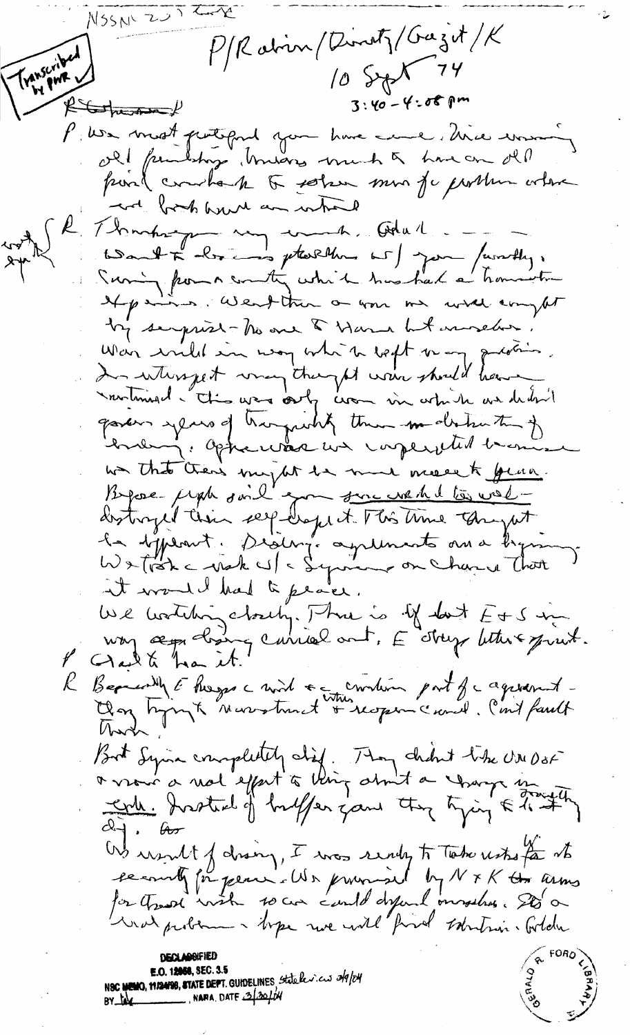NSSN 2012 P/Ration/Dinoty/Gazit/K Transcribed 10 Sept 74  $3:40 - 4:08$  pm  $f\rightarrow f\rightarrow f$ P: We must puttiguid you have come, there was old fundships truares much a have on old point combact to solar mon for porthun where and brook hund an which R. Thompson my work. Odul Word + bring pterline w ) join / wordly, Suring from a country which has had a homewhen If pains, Went than on your me will compt by semprise-his one of Harna but immedian. War wild in way white wept or any question. In where get way they of when should have montment - this was only work in which we dedn't gavers years of hargunhy them modern to of Contemp: Optic was un imperfected became non that then's import the more meant year. destroyed their seep-drops it. This time thought la dépend. Diaing. aquinants avec ligns it would had to peace. We writing cloudy. Three is if don't E+S up voy æp cloires carried ont, E étrep letters print. Begreatly & hosps a wid + continue part of cagesant-<br>Clay hyporyte Nurrotunat + nopen cand. Cont fault But Syin completely did. They child take UNDOF colle Instead of buffer game they tying & to #"  $d$  $\rightarrow$   $\theta$ Ws usuit of drawn, I was ready to Take usto for its ce courty for peace. We provided by N x K the arms for the soil with so can cauld defend messless. Sto a was probam - bype we will find sobution. Golden **E.O. 12058, SEC. 3.5** N**SC NEWG, MISNISS, STATE DEP**T. GUIDELINES, Statele*xicus 249/24* NARA, DATE 3/30/04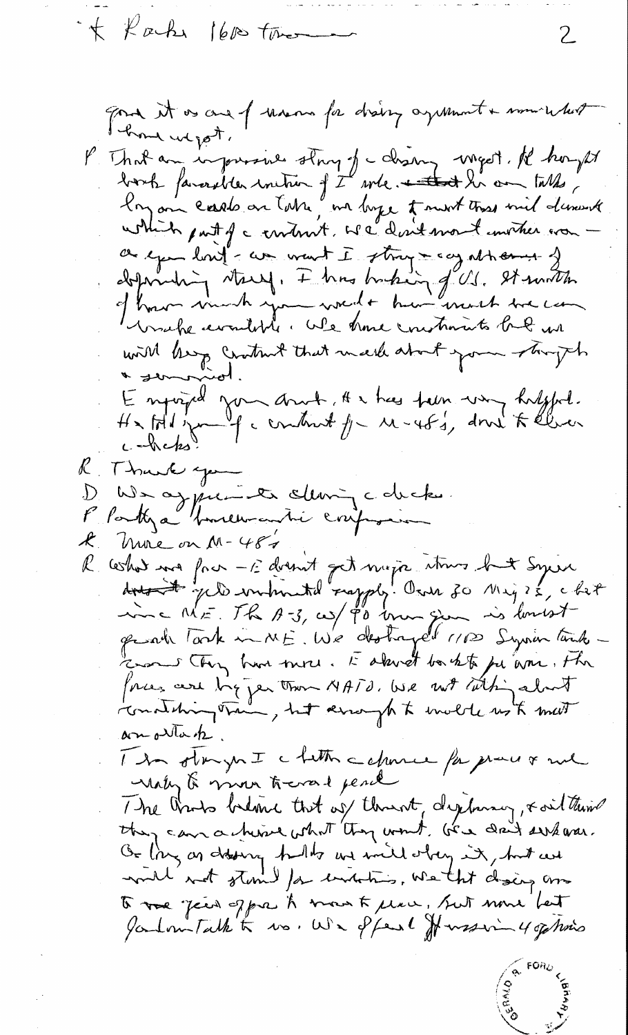\*\* Karke 1600 tomorrow

good it as and of mann for drainy agament & numerature P. That any impressive strong of change meget. He hought borb favorables inition of I will noted his on talks which part of a criterist. We don't mont inviter was a exemplant - comment I stray may athornes of deposition stary. I has basking of U.S. It with of hours much you woult hui mort tre com with leavy crathed that mark about your stringth Enpigral zon anné, He has trem vous habitant.<br>He tot jump a contract fra Mars fan Kelener K. Thank you We aggressive cleaning colucks. P Partya "Homewanti configura  $k$  hune on  $M-487$ R cohos ma fra - Edvant get mijn itms but Syric<br>dros t geld intruted rapply. Own zo Mij?s, chet inc ME. The A-3, us/ \$0 know give is lovest grade Tark in ME. We destroyed 1100 Syrian tank zon they have more. I alwat borkto pe am. The forces are ligger than NATO, we not talking about constituing train, but arrangh to invite us to meet an ottack. The otrymI chetter capance for prover and Maky & move toward pend The traits believe that of threat, deplacing, & oil think they can a him what they wont, be daily where. Or ling on dolong hults are inite orber it, but we to rue peur opper to mount place, but nous but Jambourtalk to vo. We offers for waring 4 of his

2